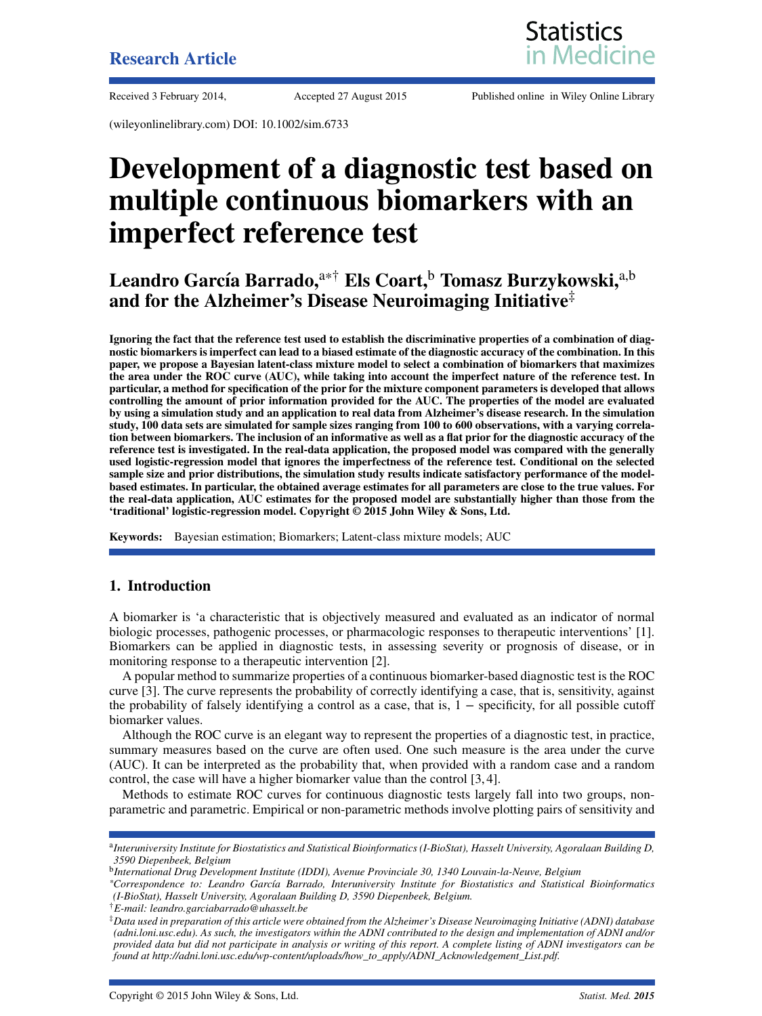#### **Research Article**





Received 3 February 2014, Accepted 27 August 2015 Published online in Wiley Online Library

(wileyonlinelibrary.com) DOI: 10.1002/sim.6733

## **Development of a diagnostic test based on multiple continuous biomarkers with an imperfect reference test**

Leandro García Barrado,<sup>a\*†</sup> Els Coart,<sup>b</sup> Tomasz Burzykowski,<sup>a,b</sup> **and for the Alzheimer's Disease Neuroimaging Initiative**‡

**Ignoring the fact that the reference test used to establish the discriminative properties of a combination of diagnostic biomarkers is imperfect can lead to a biased estimate of the diagnostic accuracy of the combination. In this paper, we propose a Bayesian latent-class mixture model to select a combination of biomarkers that maximizes the area under the ROC curve (AUC), while taking into account the imperfect nature of the reference test. In particular, a method for specification of the prior for the mixture component parameters is developed that allows controlling the amount of prior information provided for the AUC. The properties of the model are evaluated by using a simulation study and an application to real data from Alzheimer's disease research. In the simulation study, 100 data sets are simulated for sample sizes ranging from 100 to 600 observations, with a varying correlation between biomarkers. The inclusion of an informative as well as a flat prior for the diagnostic accuracy of the reference test is investigated. In the real-data application, the proposed model was compared with the generally used logistic-regression model that ignores the imperfectness of the reference test. Conditional on the selected sample size and prior distributions, the simulation study results indicate satisfactory performance of the modelbased estimates. In particular, the obtained average estimates for all parameters are close to the true values. For the real-data application, AUC estimates for the proposed model are substantially higher than those from the 'traditional' logistic-regression model. Copyright © 2015 John Wiley & Sons, Ltd.**

**Keywords:** Bayesian estimation; Biomarkers; Latent-class mixture models; AUC

#### **1. Introduction**

A biomarker is 'a characteristic that is objectively measured and evaluated as an indicator of normal biologic processes, pathogenic processes, or pharmacologic responses to therapeutic interventions' [\[1\]](#page-12-0). Biomarkers can be applied in diagnostic tests, in assessing severity or prognosis of disease, or in monitoring response to a therapeutic intervention [\[2\]](#page-12-1).

A popular method to summarize properties of a continuous biomarker-based diagnostic test is the ROC curve [\[3\]](#page-12-2). The curve represents the probability of correctly identifying a case, that is, sensitivity, against the probability of falsely identifying a control as a case, that is, 1 − specificity, for all possible cutoff biomarker values.

Although the ROC curve is an elegant way to represent the properties of a diagnostic test, in practice, summary measures based on the curve are often used. One such measure is the area under the curve (AUC). It can be interpreted as the probability that, when provided with a random case and a random control, the case will have a higher biomarker value than the control [\[3,](#page-12-2) [4\]](#page-12-3).

Methods to estimate ROC curves for continuous diagnostic tests largely fall into two groups, nonparametric and parametric. Empirical or non-parametric methods involve plotting pairs of sensitivity and

†*E-mail: leandro.garciabarrado@uhasselt.be*

<sup>a</sup>*Interuniversity Institute for Biostatistics and Statistical Bioinformatics (I-BioStat), Hasselt University, Agoralaan Building D, 3590 Diepenbeek, Belgium*

<sup>b</sup>*International Drug Development Institute (IDDI), Avenue Provinciale 30, 1340 Louvain-la-Neuve, Belgium*

*<sup>\*</sup>Correspondence to: Leandro García Barrado, Interuniversity Institute for Biostatistics and Statistical Bioinformatics (I-BioStat), Hasselt University, Agoralaan Building D, 3590 Diepenbeek, Belgium.*

<sup>‡</sup>*Data used in preparation of this article were obtained from the Alzheimer's Disease Neuroimaging Initiative (ADNI) database (adni.loni.usc.edu). As such, the investigators within the ADNI contributed to the design and implementation of ADNI and/or provided data but did not participate in analysis or writing of this report. A complete listing of ADNI investigators can be found at http://adni.loni.usc.edu/wp-content/uploads/how\_to\_apply/ADNI\_Acknowledgement\_List.pdf.*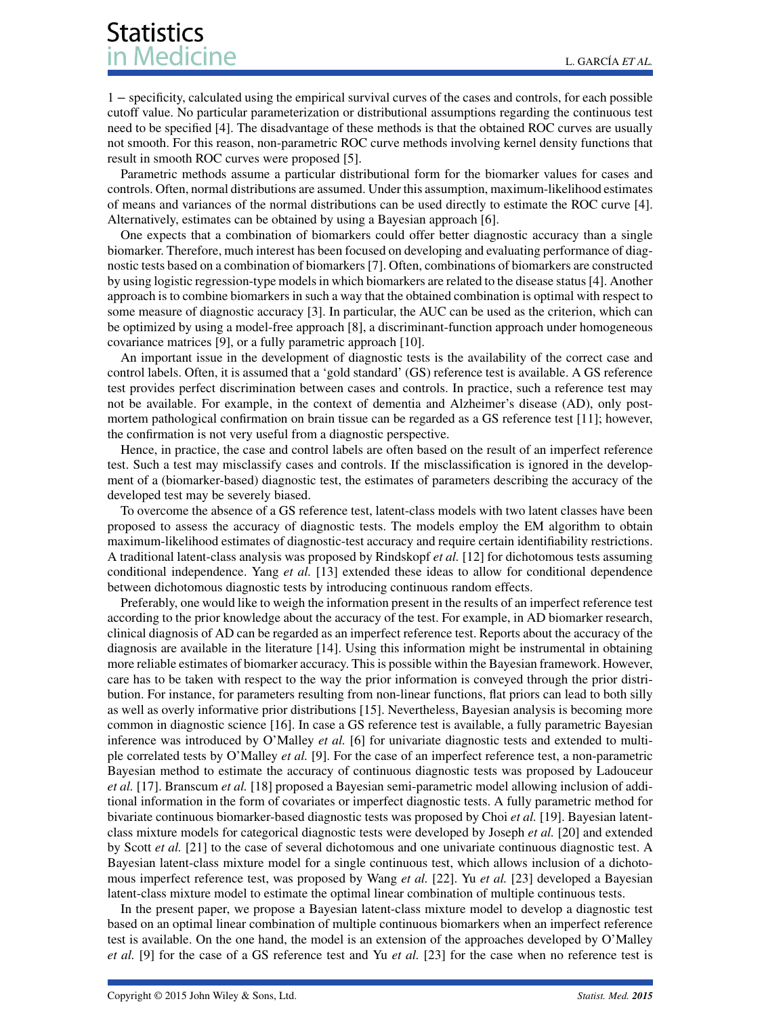1 − specificity, calculated using the empirical survival curves of the cases and controls, for each possible cutoff value. No particular parameterization or distributional assumptions regarding the continuous test need to be specified [\[4\]](#page-12-3). The disadvantage of these methods is that the obtained ROC curves are usually not smooth. For this reason, non-parametric ROC curve methods involving kernel density functions that result in smooth ROC curves were proposed [\[5\]](#page-12-4).

Parametric methods assume a particular distributional form for the biomarker values for cases and controls. Often, normal distributions are assumed. Under this assumption, maximum-likelihood estimates of means and variances of the normal distributions can be used directly to estimate the ROC curve [\[4\]](#page-12-3). Alternatively, estimates can be obtained by using a Bayesian approach [\[6\]](#page-12-5).

One expects that a combination of biomarkers could offer better diagnostic accuracy than a single biomarker. Therefore, much interest has been focused on developing and evaluating performance of diagnostic tests based on a combination of biomarkers [\[7\]](#page-13-0). Often, combinations of biomarkers are constructed by using logistic regression-type models in which biomarkers are related to the disease status [\[4\]](#page-12-3). Another approach is to combine biomarkers in such a way that the obtained combination is optimal with respect to some measure of diagnostic accuracy [\[3\]](#page-12-2). In particular, the AUC can be used as the criterion, which can be optimized by using a model-free approach [\[8\]](#page-13-1), a discriminant-function approach under homogeneous covariance matrices [\[9\]](#page-13-2), or a fully parametric approach [\[10\]](#page-13-3).

An important issue in the development of diagnostic tests is the availability of the correct case and control labels. Often, it is assumed that a 'gold standard' (GS) reference test is available. A GS reference test provides perfect discrimination between cases and controls. In practice, such a reference test may not be available. For example, in the context of dementia and Alzheimer's disease (AD), only postmortem pathological confirmation on brain tissue can be regarded as a GS reference test [\[11\]](#page-13-4); however, the confirmation is not very useful from a diagnostic perspective.

Hence, in practice, the case and control labels are often based on the result of an imperfect reference test. Such a test may misclassify cases and controls. If the misclassification is ignored in the development of a (biomarker-based) diagnostic test, the estimates of parameters describing the accuracy of the developed test may be severely biased.

To overcome the absence of a GS reference test, latent-class models with two latent classes have been proposed to assess the accuracy of diagnostic tests. The models employ the EM algorithm to obtain maximum-likelihood estimates of diagnostic-test accuracy and require certain identifiability restrictions. A traditional latent-class analysis was proposed by Rindskopf *et al.* [\[12\]](#page-13-5) for dichotomous tests assuming conditional independence. Yang *et al.* [\[13\]](#page-13-6) extended these ideas to allow for conditional dependence between dichotomous diagnostic tests by introducing continuous random effects.

Preferably, one would like to weigh the information present in the results of an imperfect reference test according to the prior knowledge about the accuracy of the test. For example, in AD biomarker research, clinical diagnosis of AD can be regarded as an imperfect reference test. Reports about the accuracy of the diagnosis are available in the literature [\[14\]](#page-13-7). Using this information might be instrumental in obtaining more reliable estimates of biomarker accuracy. This is possible within the Bayesian framework. However, care has to be taken with respect to the way the prior information is conveyed through the prior distribution. For instance, for parameters resulting from non-linear functions, flat priors can lead to both silly as well as overly informative prior distributions [\[15\]](#page-13-8). Nevertheless, Bayesian analysis is becoming more common in diagnostic science [\[16\]](#page-13-9). In case a GS reference test is available, a fully parametric Bayesian inference was introduced by O'Malley *et al.* [\[6\]](#page-12-5) for univariate diagnostic tests and extended to multiple correlated tests by O'Malley *et al.* [\[9\]](#page-13-2). For the case of an imperfect reference test, a non-parametric Bayesian method to estimate the accuracy of continuous diagnostic tests was proposed by Ladouceur *et al.* [\[17\]](#page-13-10). Branscum *et al.* [\[18\]](#page-13-11) proposed a Bayesian semi-parametric model allowing inclusion of additional information in the form of covariates or imperfect diagnostic tests. A fully parametric method for bivariate continuous biomarker-based diagnostic tests was proposed by Choi *et al.* [\[19\]](#page-13-12). Bayesian latentclass mixture models for categorical diagnostic tests were developed by Joseph *et al.* [\[20\]](#page-13-13) and extended by Scott *et al.* [\[21\]](#page-13-14) to the case of several dichotomous and one univariate continuous diagnostic test. A Bayesian latent-class mixture model for a single continuous test, which allows inclusion of a dichotomous imperfect reference test, was proposed by Wang *et al.* [\[22\]](#page-13-15). Yu *et al.* [\[23\]](#page-13-16) developed a Bayesian latent-class mixture model to estimate the optimal linear combination of multiple continuous tests.

In the present paper, we propose a Bayesian latent-class mixture model to develop a diagnostic test based on an optimal linear combination of multiple continuous biomarkers when an imperfect reference test is available. On the one hand, the model is an extension of the approaches developed by O'Malley *et al.* [\[9\]](#page-13-2) for the case of a GS reference test and Yu *et al.* [\[23\]](#page-13-16) for the case when no reference test is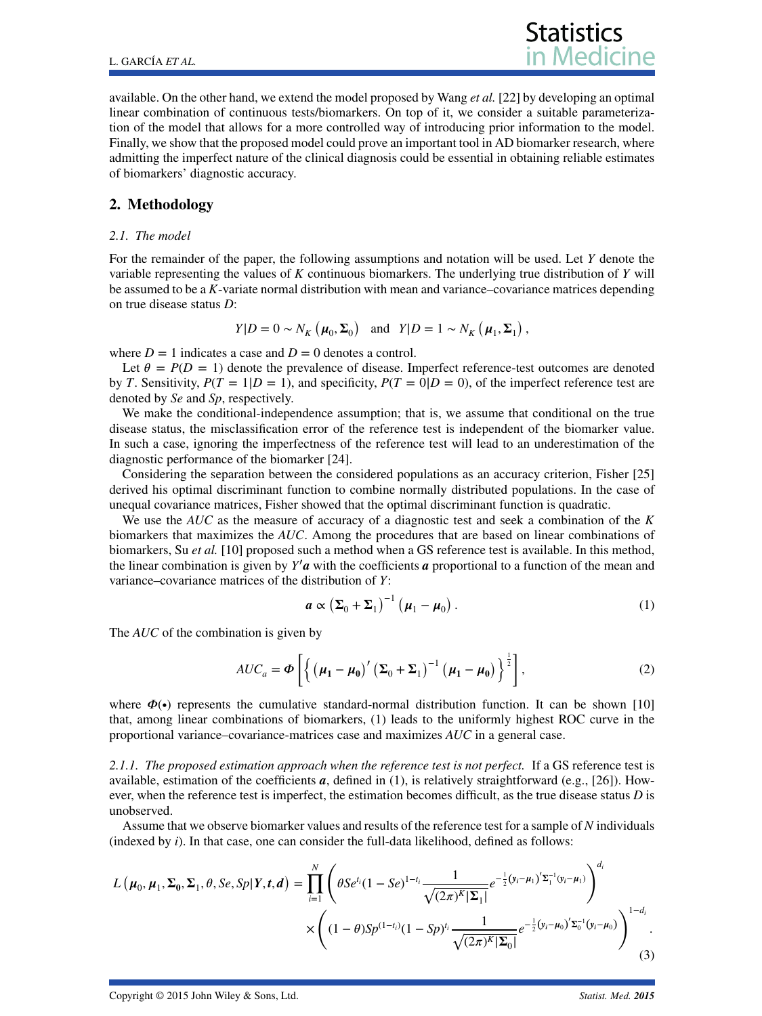available. On the other hand, we extend the model proposed by Wang *et al.* [\[22\]](#page-13-15) by developing an optimal linear combination of continuous tests/biomarkers. On top of it, we consider a suitable parameterization of the model that allows for a more controlled way of introducing prior information to the model. Finally, we show that the proposed model could prove an important tool in AD biomarker research, where admitting the imperfect nature of the clinical diagnosis could be essential in obtaining reliable estimates of biomarkers' diagnostic accuracy.

#### **2. Methodology**

#### *2.1. The model*

For the remainder of the paper, the following assumptions and notation will be used. Let *Y* denote the variable representing the values of *K* continuous biomarkers. The underlying true distribution of *Y* will be assumed to be a *K*-variate normal distribution with mean and variance–covariance matrices depending on true disease status *D*:

$$
Y|D = 0 \sim N_K(\mu_0, \Sigma_0)
$$
 and  $Y|D = 1 \sim N_K(\mu_1, \Sigma_1)$ ,

where  $D = 1$  indicates a case and  $D = 0$  denotes a control.

Let  $\theta = P(D = 1)$  denote the prevalence of disease. Imperfect reference-test outcomes are denoted by *T*. Sensitivity,  $P(T = 1|D = 1)$ , and specificity,  $P(T = 0|D = 0)$ , of the imperfect reference test are denoted by *Se* and *Sp*, respectively.

We make the conditional-independence assumption; that is, we assume that conditional on the true disease status, the misclassification error of the reference test is independent of the biomarker value. In such a case, ignoring the imperfectness of the reference test will lead to an underestimation of the diagnostic performance of the biomarker [\[24\]](#page-13-17).

Considering the separation between the considered populations as an accuracy criterion, Fisher [\[25\]](#page-13-18) derived his optimal discriminant function to combine normally distributed populations. In the case of unequal covariance matrices, Fisher showed that the optimal discriminant function is quadratic.

We use the *AUC* as the measure of accuracy of a diagnostic test and seek a combination of the *K* biomarkers that maximizes the *AUC*. Among the procedures that are based on linear combinations of biomarkers, Su *et al.* [\[10\]](#page-13-3) proposed such a method when a GS reference test is available. In this method, the linear combination is given by *Y*′ *a* with the coefficients *a* proportional to a function of the mean and variance–covariance matrices of the distribution of *Y*:

<span id="page-2-0"></span>
$$
\boldsymbol{a} \propto \left(\boldsymbol{\Sigma}_0 + \boldsymbol{\Sigma}_1\right)^{-1} \left(\boldsymbol{\mu}_1 - \boldsymbol{\mu}_0\right). \tag{1}
$$

The *AUC* of the combination is given by

<span id="page-2-2"></span>
$$
AUC_a = \boldsymbol{\Phi}\left[\left\{\left(\boldsymbol{\mu}_1 - \boldsymbol{\mu}_0\right)'\left(\boldsymbol{\Sigma}_0 + \boldsymbol{\Sigma}_1\right)^{-1}\left(\boldsymbol{\mu}_1 - \boldsymbol{\mu}_0\right)\right\}^{\frac{1}{2}}\right],\tag{2}
$$

where  $\Phi(\bullet)$  represents the cumulative standard-normal distribution function. It can be shown [\[10\]](#page-13-3) that, among linear combinations of biomarkers, [\(1\)](#page-2-0) leads to the uniformly highest ROC curve in the proportional variance–covariance-matrices case and maximizes *AUC* in a general case.

*2.1.1. The proposed estimation approach when the reference test is not perfect.* If a GS reference test is available, estimation of the coefficients  $a$ , defined in [\(1\)](#page-2-0), is relatively straightforward (e.g., [\[26\]](#page-13-19)). However, when the reference test is imperfect, the estimation becomes difficult, as the true disease status *D* is unobserved.

Assume that we observe biomarker values and results of the reference test for a sample of *N* individuals (indexed by *i*). In that case, one can consider the full-data likelihood, defined as follows:

<span id="page-2-1"></span>
$$
L(\boldsymbol{\mu}_0, \boldsymbol{\mu}_1, \boldsymbol{\Sigma}_0, \boldsymbol{\Sigma}_1, \theta, \mathit{Se}, Sp|Y, t, d) = \prod_{i=1}^N \left( \theta S e^{t_i} (1 - S e)^{1 - t_i} \frac{1}{\sqrt{(2\pi)^K |\boldsymbol{\Sigma}_1|}} e^{-\frac{1}{2} (y_i - \boldsymbol{\mu}_1)' \boldsymbol{\Sigma}_1^{-1} (y_i - \boldsymbol{\mu}_1)} \right)^{d_i} \times \left( (1 - \theta) S p^{(1 - t_i)} (1 - S p)^{t_i} \frac{1}{\sqrt{(2\pi)^K |\boldsymbol{\Sigma}_0|}} e^{-\frac{1}{2} (y_i - \boldsymbol{\mu}_0)' \boldsymbol{\Sigma}_0^{-1} (y_i - \boldsymbol{\mu}_0)} \right)^{1 - d_i}.
$$
\n(3)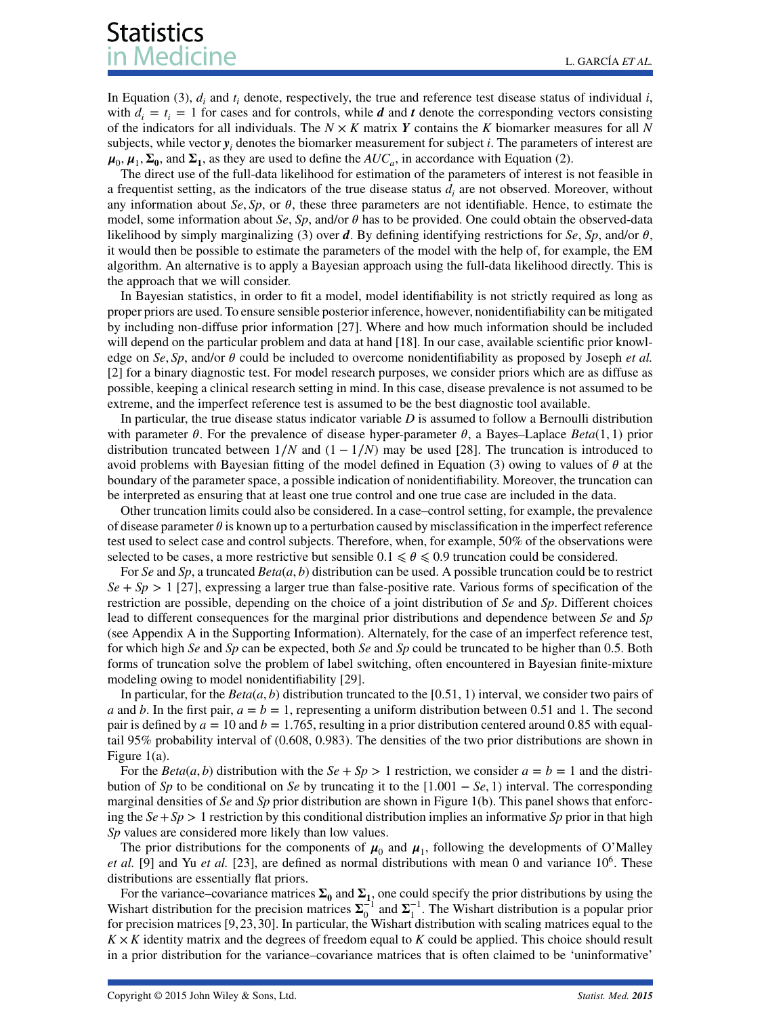In Equation [\(3\)](#page-2-1),  $d_i$  and  $t_i$  denote, respectively, the true and reference test disease status of individual  $i$ , with  $d_i = t_i = 1$  for cases and for controls, while *d* and *t* denote the corresponding vectors consisting of the indicators for all individuals. The *N* × *K* matrix *Y* contains the *K* biomarker measures for all *N* subjects, while vector  $y_i$  denotes the biomarker measurement for subject *i*. The parameters of interest are  $\mu_0$ ,  $\mu_1$ ,  $\Sigma_0$ , and  $\Sigma_1$ , as they are used to define the  $AUC_a$ , in accordance with Equation [\(2\)](#page-2-2).

The direct use of the full-data likelihood for estimation of the parameters of interest is not feasible in a frequentist setting, as the indicators of the true disease status *di* are not observed. Moreover, without any information about *Se*, *Sp*, or  $\theta$ , these three parameters are not identifiable. Hence, to estimate the model, some information about *Se*, *Sp*, and/or  $\theta$  has to be provided. One could obtain the observed-data likelihood by simply marginalizing [\(3\)](#page-2-1) over *d*. By defining identifying restrictions for *Se*, *Sp*, and/or  $\theta$ , it would then be possible to estimate the parameters of the model with the help of, for example, the EM algorithm. An alternative is to apply a Bayesian approach using the full-data likelihood directly. This is the approach that we will consider.

In Bayesian statistics, in order to fit a model, model identifiability is not strictly required as long as proper priors are used. To ensure sensible posterior inference, however, nonidentifiability can be mitigated by including non-diffuse prior information [\[27\]](#page-13-20). Where and how much information should be included will depend on the particular problem and data at hand [\[18\]](#page-13-11). In our case, available scientific prior knowledge on *Se*, *Sp*, and/or  $\theta$  could be included to overcome nonidentifiability as proposed by Joseph *et al.* [\[2\]](#page-12-1) for a binary diagnostic test. For model research purposes, we consider priors which are as diffuse as possible, keeping a clinical research setting in mind. In this case, disease prevalence is not assumed to be extreme, and the imperfect reference test is assumed to be the best diagnostic tool available.

In particular, the true disease status indicator variable *D* is assumed to follow a Bernoulli distribution with parameter  $\theta$ . For the prevalence of disease hyper-parameter  $\theta$ , a Bayes–Laplace *Beta*(1, 1) prior distribution truncated between  $1/N$  and  $(1 - 1/N)$  may be used [\[28\]](#page-13-21). The truncation is introduced to avoid problems with Bayesian fitting of the model defined in Equation [\(3\)](#page-2-1) owing to values of  $\theta$  at the boundary of the parameter space, a possible indication of nonidentifiability. Moreover, the truncation can be interpreted as ensuring that at least one true control and one true case are included in the data.

Other truncation limits could also be considered. In a case–control setting, for example, the prevalence of disease parameter  $\theta$  is known up to a perturbation caused by misclassification in the imperfect reference test used to select case and control subjects. Therefore, when, for example, 50% of the observations were selected to be cases, a more restrictive but sensible  $0.1 \le \theta \le 0.9$  truncation could be considered.

For *Se* and *Sp*, a truncated *Beta*(*a, b*) distribution can be used. A possible truncation could be to restrict  $Se + Sp > 1$  [\[27\]](#page-13-20), expressing a larger true than false-positive rate. Various forms of specification of the restriction are possible, depending on the choice of a joint distribution of *Se* and *Sp*. Different choices lead to different consequences for the marginal prior distributions and dependence between *Se* and *Sp* (see Appendix A in the Supporting Information). Alternately, for the case of an imperfect reference test, for which high *Se* and *Sp* can be expected, both *Se* and *Sp* could be truncated to be higher than 0.5. Both forms of truncation solve the problem of label switching, often encountered in Bayesian finite-mixture modeling owing to model nonidentifiability [\[29\]](#page-13-22).

In particular, for the  $Beta(a, b)$  distribution truncated to the [0.51, 1) interval, we consider two pairs of *a* and *b*. In the first pair,  $a = b = 1$ , representing a uniform distribution between 0.51 and 1. The second pair is defined by  $a = 10$  and  $b = 1.765$ , resulting in a prior distribution centered around 0.85 with equaltail 95% probability interval of (0.608, 0.983). The densities of the two prior distributions are shown in Figure [1\(](#page-4-0)a).

For the *Beta*(*a*, *b*) distribution with the *Se* + *Sp* > 1 restriction, we consider  $a = b = 1$  and the distribution of *Sp* to be conditional on *Se* by truncating it to the [1*.*001 − *Se,* 1) interval. The corresponding marginal densities of *Se* and *Sp* prior distribution are shown in Figure [1\(](#page-4-0)b). This panel shows that enforcing the  $Se+Sp > 1$  restriction by this conditional distribution implies an informative *Sp* prior in that high *Sp* values are considered more likely than low values.

The prior distributions for the components of  $\mu_0$  and  $\mu_1$ , following the developments of O'Malley *et al.* [\[9\]](#page-13-2) and Yu *et al.* [\[23\]](#page-13-16), are defined as normal distributions with mean 0 and variance 106. These distributions are essentially flat priors.

For the variance–covariance matrices  $\Sigma_0$  and  $\Sigma_{1}$ , one could specify the prior distributions by using the Wishart distribution for the precision matrices  $\Sigma_0^{-1}$  and  $\Sigma_1^{-1}$ . The Wishart distribution is a popular prior for precision matrices [\[9,](#page-13-2) [23,](#page-13-16) [30\]](#page-13-23). In particular, the Wishart distribution with scaling matrices equal to the  $K \times K$  identity matrix and the degrees of freedom equal to *K* could be applied. This choice should result in a prior distribution for the variance–covariance matrices that is often claimed to be 'uninformative'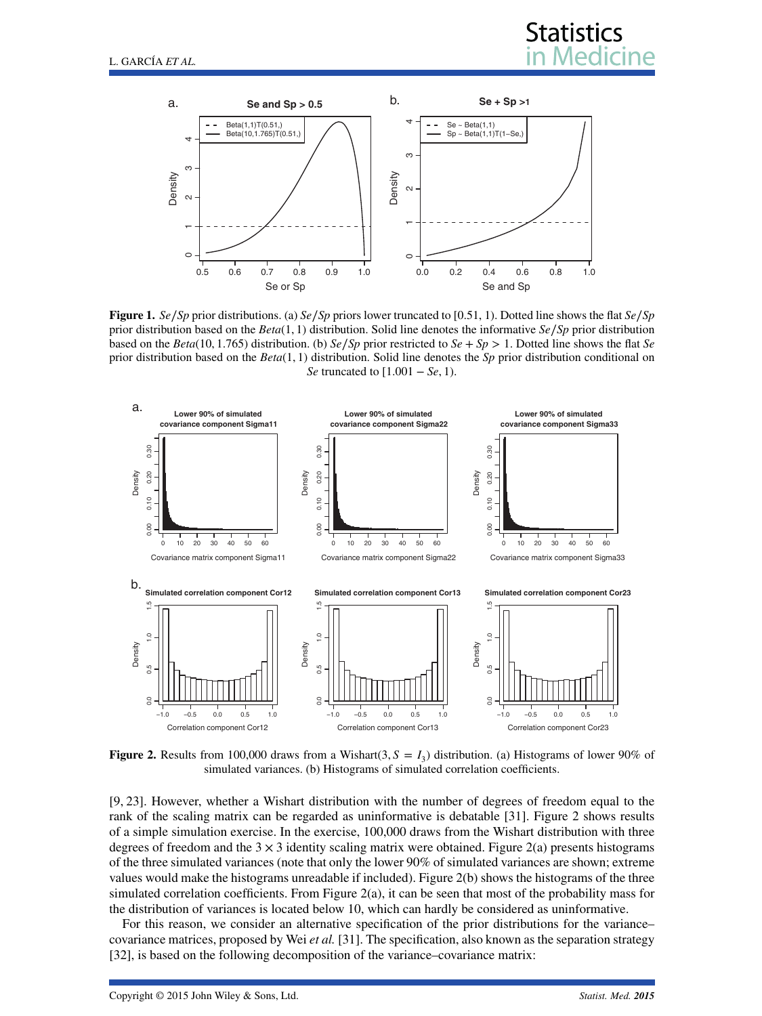



<span id="page-4-0"></span>**Figure 1.** *Se*∕*Sp* prior distributions. (a) *Se*∕*Sp* priors lower truncated to [0.51, 1). Dotted line shows the flat *Se*∕*Sp* prior distribution based on the *Beta*(1*,* 1) distribution. Solid line denotes the informative *Se*∕*Sp* prior distribution based on the *Beta*(10*,* 1*.*765) distribution. (b) *Se*∕*Sp* prior restricted to *Se* + *Sp >* 1. Dotted line shows the flat *Se* prior distribution based on the *Beta*(1*,* 1) distribution. Solid line denotes the *Sp* prior distribution conditional on *Se* truncated to [1*.*001 − *Se,* 1).



<span id="page-4-1"></span>**Figure 2.** Results from 100,000 draws from a Wishart(3,  $S = I_3$ ) distribution. (a) Histograms of lower 90% of simulated variances. (b) Histograms of simulated correlation coefficients.

[\[9,](#page-13-2) [23\]](#page-13-16). However, whether a Wishart distribution with the number of degrees of freedom equal to the rank of the scaling matrix can be regarded as uninformative is debatable [\[31\]](#page-13-24). Figure [2](#page-4-1) shows results of a simple simulation exercise. In the exercise, 100,000 draws from the Wishart distribution with three degrees of freedom and the  $3 \times 3$  identity scaling matrix were obtained. Figure [2\(](#page-4-1)a) presents histograms of the three simulated variances (note that only the lower 90% of simulated variances are shown; extreme values would make the histograms unreadable if included). Figure [2\(](#page-4-1)b) shows the histograms of the three simulated correlation coefficients. From Figure [2\(](#page-4-1)a), it can be seen that most of the probability mass for the distribution of variances is located below 10, which can hardly be considered as uninformative.

For this reason, we consider an alternative specification of the prior distributions for the variance– covariance matrices, proposed by Wei *et al.* [\[31\]](#page-13-24). The specification, also known as the separation strategy [\[32\]](#page-13-25), is based on the following decomposition of the variance–covariance matrix: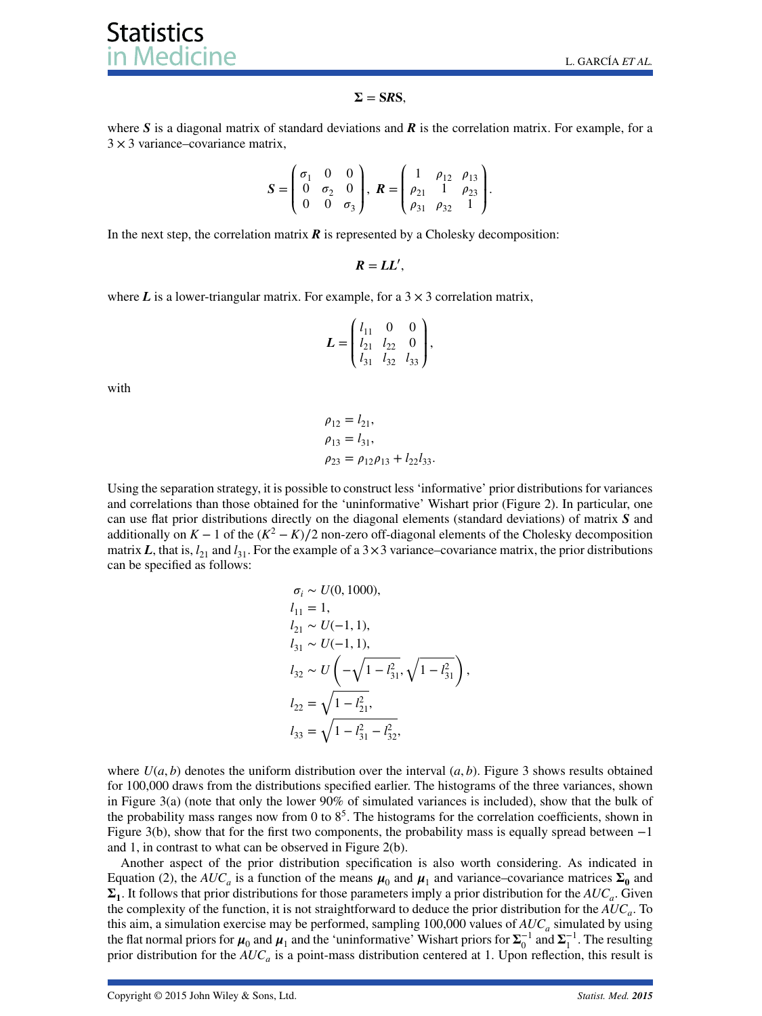#### $\Sigma = SRS$

where *S* is a diagonal matrix of standard deviations and *R* is the correlation matrix. For example, for a  $3 \times 3$  variance–covariance matrix,

$$
\mathbf{S} = \begin{pmatrix} \sigma_1 & 0 & 0 \\ 0 & \sigma_2 & 0 \\ 0 & 0 & \sigma_3 \end{pmatrix}, \ \mathbf{R} = \begin{pmatrix} 1 & \rho_{12} & \rho_{13} \\ \rho_{21} & 1 & \rho_{23} \\ \rho_{31} & \rho_{32} & 1 \end{pmatrix}.
$$

In the next step, the correlation matrix  $\vec{R}$  is represented by a Cholesky decomposition:

 $R = LL',$ 

where  $L$  is a lower-triangular matrix. For example, for a  $3 \times 3$  correlation matrix,

$$
L = \begin{pmatrix} l_{11} & 0 & 0 \\ l_{21} & l_{22} & 0 \\ l_{31} & l_{32} & l_{33} \end{pmatrix},
$$

with

$$
\rho_{12} = l_{21}, \n\rho_{13} = l_{31}, \n\rho_{23} = \rho_{12}\rho_{13} + l_{22}l_{33}.
$$

Using the separation strategy, it is possible to construct less 'informative' prior distributions for variances and correlations than those obtained for the 'uninformative' Wishart prior (Figure [2\)](#page-4-1). In particular, one can use flat prior distributions directly on the diagonal elements (standard deviations) of matrix *S* and additionally on  $K - 1$  of the  $(K^2 - K)/2$  non-zero off-diagonal elements of the Cholesky decomposition matrix *L*, that is,  $l_{21}$  and  $l_{31}$ . For the example of a  $3 \times 3$  variance–covariance matrix, the prior distributions can be specified as follows:

$$
\sigma_i \sim U(0, 1000),
$$
  
\n
$$
l_{11} = 1,
$$
  
\n
$$
l_{21} \sim U(-1, 1),
$$
  
\n
$$
l_{31} \sim U(-1, 1),
$$
  
\n
$$
l_{32} \sim U\left(-\sqrt{1 - l_{31}^2}, \sqrt{1 - l_{31}^2}\right),
$$
  
\n
$$
l_{22} = \sqrt{1 - l_{21}^2},
$$
  
\n
$$
l_{33} = \sqrt{1 - l_{31}^2 - l_{32}^2},
$$

where  $U(a, b)$  denotes the uniform distribution over the interval  $(a, b)$ . Figure [3](#page-6-0) shows results obtained for 100,000 draws from the distributions specified earlier. The histograms of the three variances, shown in Figure [3\(](#page-6-0)a) (note that only the lower 90% of simulated variances is included), show that the bulk of the probability mass ranges now from 0 to  $8<sup>5</sup>$ . The histograms for the correlation coefficients, shown in Figure [3\(](#page-6-0)b), show that for the first two components, the probability mass is equally spread between −1 and 1, in contrast to what can be observed in Figure [2\(](#page-4-1)b).

Another aspect of the prior distribution specification is also worth considering. As indicated in Equation [\(2\)](#page-2-2), the  $AUC_a$  is a function of the means  $\mu_0$  and  $\mu_1$  and variance–covariance matrices  $\Sigma_0$  and  $\Sigma_1$ . It follows that prior distributions for those parameters imply a prior distribution for the  $AUC_a$ . Given the complexity of the function, it is not straightforward to deduce the prior distribution for the *AUCa*. To this aim, a simulation exercise may be performed, sampling  $100,000$  values of  $AUC_a$  simulated by using the flat normal priors for  $\mu_0$  and  $\mu_1$  and the 'uninformative' Wishart priors for  $\Sigma_0^{-1}$  and  $\Sigma_1^{-1}$ . The resulting prior distribution for the *AUCa* is a point-mass distribution centered at 1. Upon reflection, this result is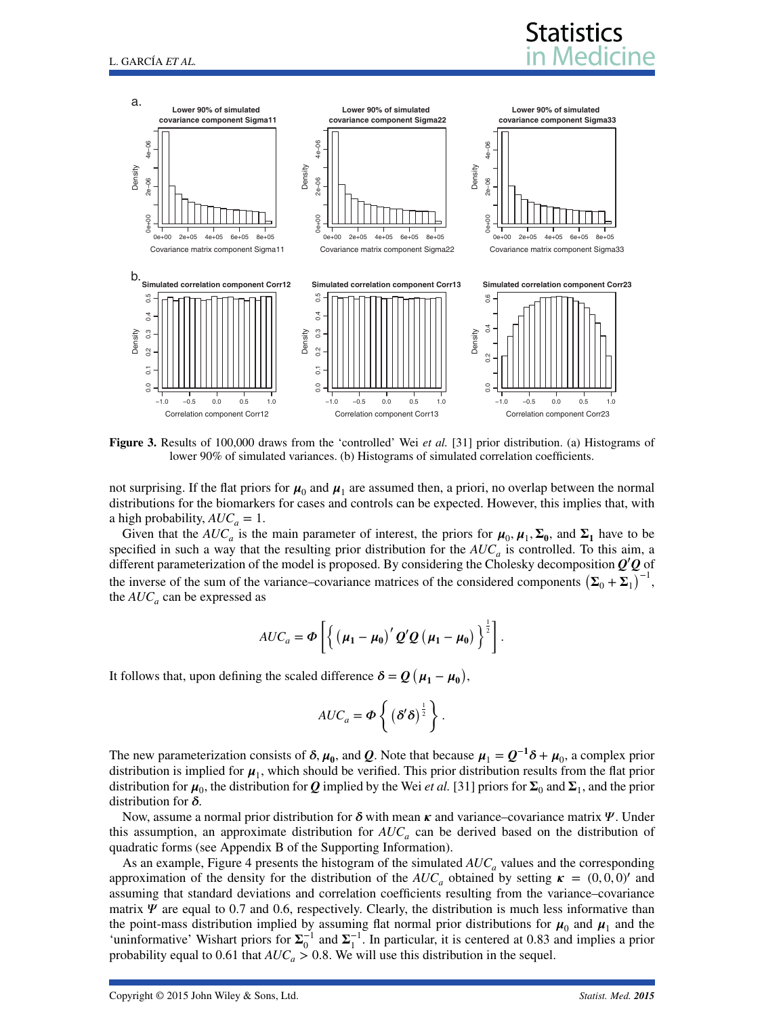

<span id="page-6-0"></span>**Figure 3.** Results of 100,000 draws from the 'controlled' Wei *et al.* [\[31\]](#page-13-24) prior distribution. (a) Histograms of lower 90% of simulated variances. (b) Histograms of simulated correlation coefficients.

not surprising. If the flat priors for  $\mu_0$  and  $\mu_1$  are assumed then, a priori, no overlap between the normal distributions for the biomarkers for cases and controls can be expected. However, this implies that, with a high probability,  $AUC_a = 1$ .

Given that the  $AUC_a$  is the main parameter of interest, the priors for  $\mu_0$ ,  $\mu_1$ ,  $\Sigma_0$ , and  $\Sigma_1$  have to be specified in such a way that the resulting prior distribution for the  $AUC_a$  is controlled. To this aim, a different parameterization of the model is proposed. By considering the Cholesky decomposition *Q*′ *Q* of the inverse of the sum of the variance–covariance matrices of the considered components  $(\Sigma_0 + \Sigma_1)^{-1}$ , the  $AUC_a$  can be expressed as

$$
AUC_a = \boldsymbol{\Phi}\left[ \left\{ \left( \boldsymbol{\mu}_1 - \boldsymbol{\mu}_0 \right)^{\prime} \boldsymbol{Q}^{\prime} \boldsymbol{Q} \left( \boldsymbol{\mu}_1 - \boldsymbol{\mu}_0 \right) \right\}^{\frac{1}{2}} \right].
$$

It follows that, upon defining the scaled difference  $\delta = Q(\mu_1 - \mu_0)$ ,

$$
AUC_a = \boldsymbol{\Phi}\left\{ \left(\boldsymbol{\delta}'\boldsymbol{\delta}\right)^{\frac{1}{2}} \right\}.
$$

The new parameterization consists of  $\delta$ ,  $\mu_0$ , and  $Q$ . Note that because  $\mu_1 = Q^{-1}\delta + \mu_0$ , a complex prior distribution is implied for  $\mu_1$ , which should be verified. This prior distribution results from the flat prior distribution for  $\mu_0$ , the distribution for *Q* implied by the Wei *et al.* [\[31\]](#page-13-24) priors for  $\Sigma_0$  and  $\Sigma_1$ , and the prior distribution for  $\delta$ .

Now, assume a normal prior distribution for  $\delta$  with mean  $\kappa$  and variance–covariance matrix  $\Psi$ . Under this assumption, an approximate distribution for  $AUC_a$  can be derived based on the distribution of quadratic forms (see Appendix B of the Supporting Information).

As an example, Figure [4](#page-7-0) presents the histogram of the simulated  $AUC_a$  values and the corresponding approximation of the density for the distribution of the  $AUC_a$  obtained by setting  $\kappa = (0,0,0)'$  and assuming that standard deviations and correlation coefficients resulting from the variance–covariance matrix  $\Psi$  are equal to 0.7 and 0.6, respectively. Clearly, the distribution is much less informative than the point-mass distribution implied by assuming flat normal prior distributions for  $\mu_0$  and  $\mu_1$  and the 'uninformative' Wishart priors for  $\Sigma_0^{-1}$  and  $\Sigma_1^{-1}$ . In particular, it is centered at 0.83 and implies a prior probability equal to 0.61 that  $AUC_a > 0.8$ . We will use this distribution in the sequel.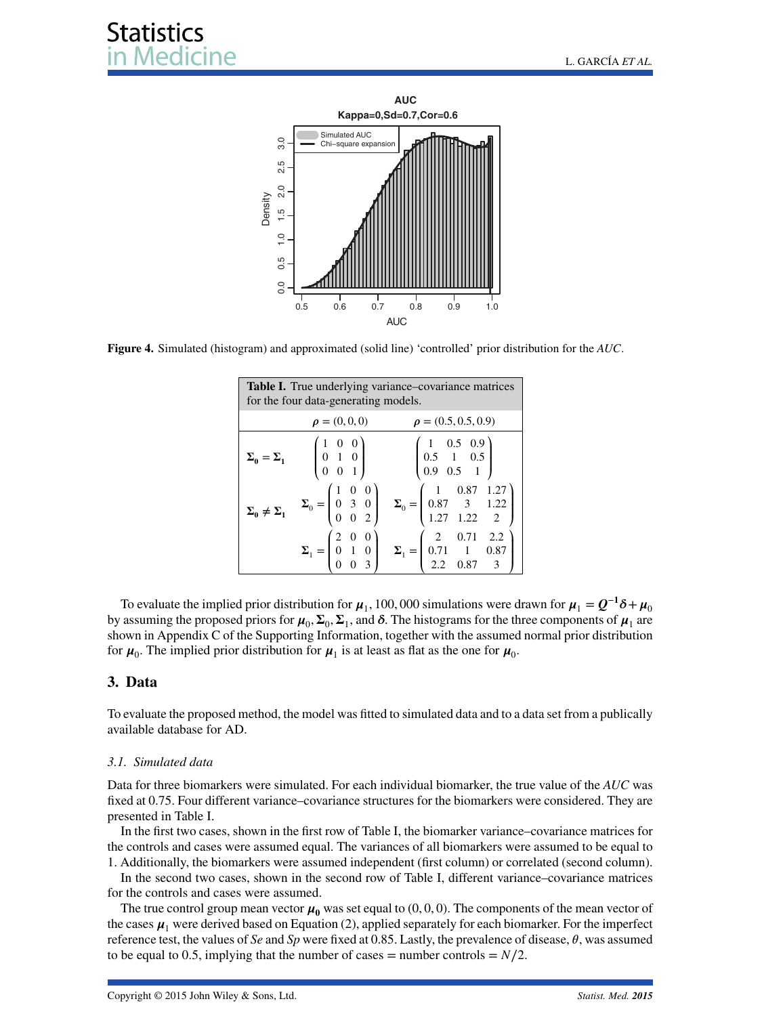

<span id="page-7-0"></span>**Figure 4.** Simulated (histogram) and approximated (solid line) 'controlled' prior distribution for the *AUC*.

<span id="page-7-1"></span>

| <b>Table I.</b> True underlying variance–covariance matrices<br>for the four data-generating models. |                    |                                                                                                                                                                                                                                                                                        |  |  |  |  |  |
|------------------------------------------------------------------------------------------------------|--------------------|----------------------------------------------------------------------------------------------------------------------------------------------------------------------------------------------------------------------------------------------------------------------------------------|--|--|--|--|--|
|                                                                                                      | $\rho = (0, 0, 0)$ | $\rho = (0.5, 0.5, 0.9)$                                                                                                                                                                                                                                                               |  |  |  |  |  |
| $\Sigma_0 = \Sigma_1$                                                                                |                    | $\begin{pmatrix} 1 & 0 & 0 \\ 0 & 1 & 0 \\ 0 & 0 & 1 \end{pmatrix}$ $\begin{pmatrix} 1 & 0.5 & 0.9 \\ 0.5 & 1 & 0.5 \\ 0.9 & 0.5 & 1 \end{pmatrix}$                                                                                                                                    |  |  |  |  |  |
|                                                                                                      |                    | $\boldsymbol{\Sigma}_0 \neq \boldsymbol{\Sigma}_1 \hspace{0.5cm} \boldsymbol{\Sigma}_0 = \begin{pmatrix} 1 & 0 & 0 \\ 0 & 3 & 0 \\ 0 & 0 & 2 \end{pmatrix} \hspace{0.5cm} \boldsymbol{\Sigma}_0 = \begin{pmatrix} 1 & 0.87 & 1.27 \\ 0.87 & 3 & 1.22 \\ 1.27 & 1.22 & 2 \end{pmatrix}$ |  |  |  |  |  |
|                                                                                                      |                    | $\Sigma_1 = \begin{pmatrix} 2 & 0 & 0 \\ 0 & 1 & 0 \\ 0 & 0 & 3 \end{pmatrix}$ $\Sigma_1 = \begin{pmatrix} 2 & 0.71 & 2.2 \\ 0.71 & 1 & 0.87 \\ 2.2 & 0.87 & 3 \end{pmatrix}$                                                                                                          |  |  |  |  |  |

To evaluate the implied prior distribution for  $\mu_1$ , 100, 000 simulations were drawn for  $\mu_1 = Q^{-1}\delta + \mu_0$ by assuming the proposed priors for  $\mu_0$ ,  $\Sigma_0$ ,  $\Sigma_1$ , and  $\delta$ . The histograms for the three components of  $\mu_1$  are shown in Appendix C of the Supporting Information, together with the assumed normal prior distribution for  $\mu_0$ . The implied prior distribution for  $\mu_1$  is at least as flat as the one for  $\mu_0$ .

#### **3. Data**

To evaluate the proposed method, the model was fitted to simulated data and to a data set from a publically available database for AD.

#### *3.1. Simulated data*

Data for three biomarkers were simulated. For each individual biomarker, the true value of the *AUC* was fixed at 0.75. Four different variance–covariance structures for the biomarkers were considered. They are presented in Table [I.](#page-7-1)

In the first two cases, shown in the first row of Table [I,](#page-7-1) the biomarker variance–covariance matrices for the controls and cases were assumed equal. The variances of all biomarkers were assumed to be equal to 1. Additionally, the biomarkers were assumed independent (first column) or correlated (second column).

In the second two cases, shown in the second row of Table [I,](#page-7-1) different variance–covariance matrices for the controls and cases were assumed.

The true control group mean vector  $\mu_0$  was set equal to  $(0, 0, 0)$ . The components of the mean vector of the cases  $\mu_1$  were derived based on Equation [\(2\)](#page-2-2), applied separately for each biomarker. For the imperfect reference test, the values of *Se* and *Sp* were fixed at 0.85. Lastly, the prevalence of disease,  $\theta$ , was assumed to be equal to 0.5, implying that the number of cases = number controls =  $N/2$ .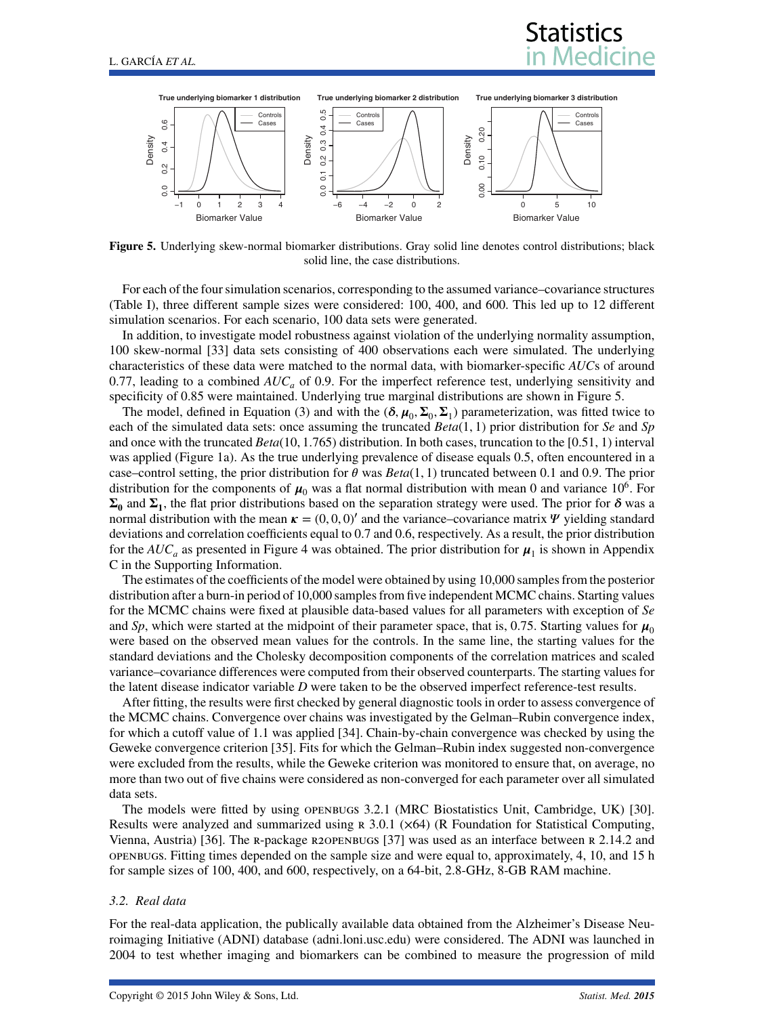# **Statistics**



<span id="page-8-0"></span>**Figure 5.** Underlying skew-normal biomarker distributions. Gray solid line denotes control distributions; black solid line, the case distributions.

For each of the four simulation scenarios, corresponding to the assumed variance–covariance structures (Table [I\)](#page-7-1), three different sample sizes were considered: 100, 400, and 600. This led up to 12 different simulation scenarios. For each scenario, 100 data sets were generated.

In addition, to investigate model robustness against violation of the underlying normality assumption, 100 skew-normal [\[33\]](#page-13-26) data sets consisting of 400 observations each were simulated. The underlying characteristics of these data were matched to the normal data, with biomarker-specific *AUC*s of around 0.77, leading to a combined  $AUC_a$  of 0.9. For the imperfect reference test, underlying sensitivity and specificity of 0.85 were maintained. Underlying true marginal distributions are shown in Figure [5.](#page-8-0)

The model, defined in Equation [\(3\)](#page-2-1) and with the  $(\delta, \mu_0, \Sigma_0, \Sigma_1)$  parameterization, was fitted twice to each of the simulated data sets: once assuming the truncated *Beta*(1*,* 1) prior distribution for *Se* and *Sp* and once with the truncated *Beta*(10*,* 1*.*765) distribution. In both cases, truncation to the [0.51, 1) interval was applied (Figure [1a](#page-4-0)). As the true underlying prevalence of disease equals 0.5, often encountered in a case–control setting, the prior distribution for  $\theta$  was  $Beta(1, 1)$  truncated between 0.1 and 0.9. The prior distribution for the components of  $\mu_0$  was a flat normal distribution with mean 0 and variance 10<sup>6</sup>. For  $\Sigma_0$  and  $\Sigma_1$ , the flat prior distributions based on the separation strategy were used. The prior for  $\delta$  was a normal distribution with the mean  $\kappa = (0, 0, 0)'$  and the variance–covariance matrix  $\Psi$  yielding standard deviations and correlation coefficients equal to 0.7 and 0.6, respectively. As a result, the prior distribution for the  $AUC_a$  as presented in Figure [4](#page-7-0) was obtained. The prior distribution for  $\mu_1$  is shown in Appendix C in the Supporting Information.

The estimates of the coefficients of the model were obtained by using 10,000 samples from the posterior distribution after a burn-in period of 10,000 samples from five independent MCMC chains. Starting values for the MCMC chains were fixed at plausible data-based values for all parameters with exception of *Se* and *Sp*, which were started at the midpoint of their parameter space, that is, 0.75. Starting values for  $\mu_0$ were based on the observed mean values for the controls. In the same line, the starting values for the standard deviations and the Cholesky decomposition components of the correlation matrices and scaled variance–covariance differences were computed from their observed counterparts. The starting values for the latent disease indicator variable *D* were taken to be the observed imperfect reference-test results.

After fitting, the results were first checked by general diagnostic tools in order to assess convergence of the MCMC chains. Convergence over chains was investigated by the Gelman–Rubin convergence index, for which a cutoff value of 1.1 was applied [\[34\]](#page-13-27). Chain-by-chain convergence was checked by using the Geweke convergence criterion [\[35\]](#page-13-28). Fits for which the Gelman–Rubin index suggested non-convergence were excluded from the results, while the Geweke criterion was monitored to ensure that, on average, no more than two out of five chains were considered as non-converged for each parameter over all simulated data sets.

The models were fitted by using openbugs 3.2.1 (MRC Biostatistics Unit, Cambridge, UK) [\[30\]](#page-13-23). Results were analyzed and summarized using  $R$  3.0.1 ( $\times$ 64) (R Foundation for Statistical Computing, Vienna, Austria) [\[36\]](#page-13-29). The r-package r2openbugs [\[37\]](#page-13-30) was used as an interface between r 2.14.2 and openbugs. Fitting times depended on the sample size and were equal to, approximately, 4, 10, and 15 h for sample sizes of 100, 400, and 600, respectively, on a 64-bit, 2.8-GHz, 8-GB RAM machine.

#### *3.2. Real data*

For the real-data application, the publically available data obtained from the Alzheimer's Disease Neuroimaging Initiative (ADNI) database (adni.loni.usc.edu) were considered. The ADNI was launched in 2004 to test whether imaging and biomarkers can be combined to measure the progression of mild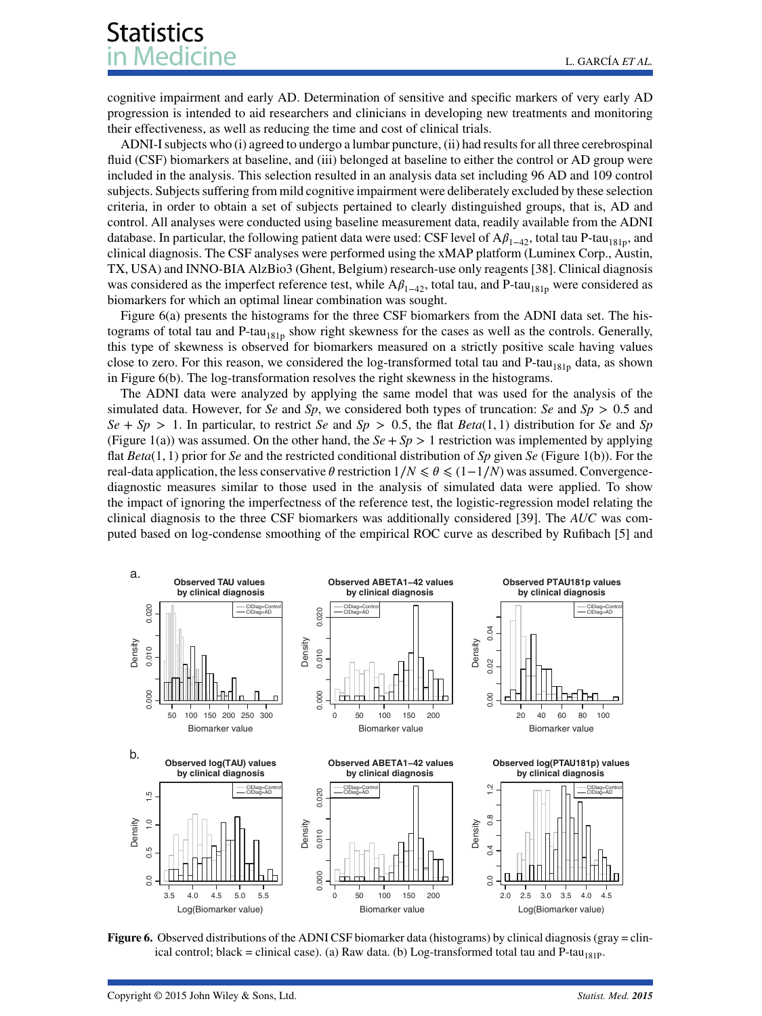cognitive impairment and early AD. Determination of sensitive and specific markers of very early AD progression is intended to aid researchers and clinicians in developing new treatments and monitoring their effectiveness, as well as reducing the time and cost of clinical trials.

ADNI-I subjects who (i) agreed to undergo a lumbar puncture, (ii) had results for all three cerebrospinal fluid (CSF) biomarkers at baseline, and (iii) belonged at baseline to either the control or AD group were included in the analysis. This selection resulted in an analysis data set including 96 AD and 109 control subjects. Subjects suffering from mild cognitive impairment were deliberately excluded by these selection criteria, in order to obtain a set of subjects pertained to clearly distinguished groups, that is, AD and control. All analyses were conducted using baseline measurement data, readily available from the ADNI database. In particular, the following patient data were used: CSF level of  $A\beta_{1-42}$ , total tau P-tau<sub>181p</sub>, and clinical diagnosis. The CSF analyses were performed using the xMAP platform (Luminex Corp., Austin, TX, USA) and INNO-BIA AlzBio3 (Ghent, Belgium) research-use only reagents [\[38\]](#page-13-31). Clinical diagnosis was considered as the imperfect reference test, while  $A\beta_{1-42}$ , total tau, and P-tau<sub>181p</sub> were considered as biomarkers for which an optimal linear combination was sought.

Figure [6\(](#page-9-0)a) presents the histograms for the three CSF biomarkers from the ADNI data set. The histograms of total tau and P-tau<sub>181p</sub> show right skewness for the cases as well as the controls. Generally, this type of skewness is observed for biomarkers measured on a strictly positive scale having values close to zero. For this reason, we considered the log-transformed total tau and  $P-tau<sub>181p</sub>$  data, as shown in Figure [6\(](#page-9-0)b). The log-transformation resolves the right skewness in the histograms.

The ADNI data were analyzed by applying the same model that was used for the analysis of the simulated data. However, for *Se* and *Sp*, we considered both types of truncation: *Se* and *Sp >* 0*.*5 and  $Se + Sp > 1$ . In particular, to restrict *Se* and  $Sp > 0.5$ , the flat *Beta*(1, 1) distribution for *Se* and *Sp* (Figure [1\(](#page-4-0)a)) was assumed. On the other hand, the  $Se + Sp > 1$  restriction was implemented by applying flat *Beta*(1*,* 1) prior for *Se* and the restricted conditional distribution of *Sp* given *Se* (Figure [1\(](#page-4-0)b)). For the real-data application, the less conservative  $\theta$  restriction  $1/N \le \theta \le (1-1/N)$  was assumed. Convergencediagnostic measures similar to those used in the analysis of simulated data were applied. To show the impact of ignoring the imperfectness of the reference test, the logistic-regression model relating the clinical diagnosis to the three CSF biomarkers was additionally considered [\[39\]](#page-13-32). The *AUC* was computed based on log-condense smoothing of the empirical ROC curve as described by Rufibach [\[5\]](#page-12-4) and



<span id="page-9-0"></span>**Figure 6.** Observed distributions of the ADNI CSF biomarker data (histograms) by clinical diagnosis (gray = clinical control; black = clinical case). (a) Raw data. (b) Log-transformed total tau and  $P$ -tau<sub>181P</sub>.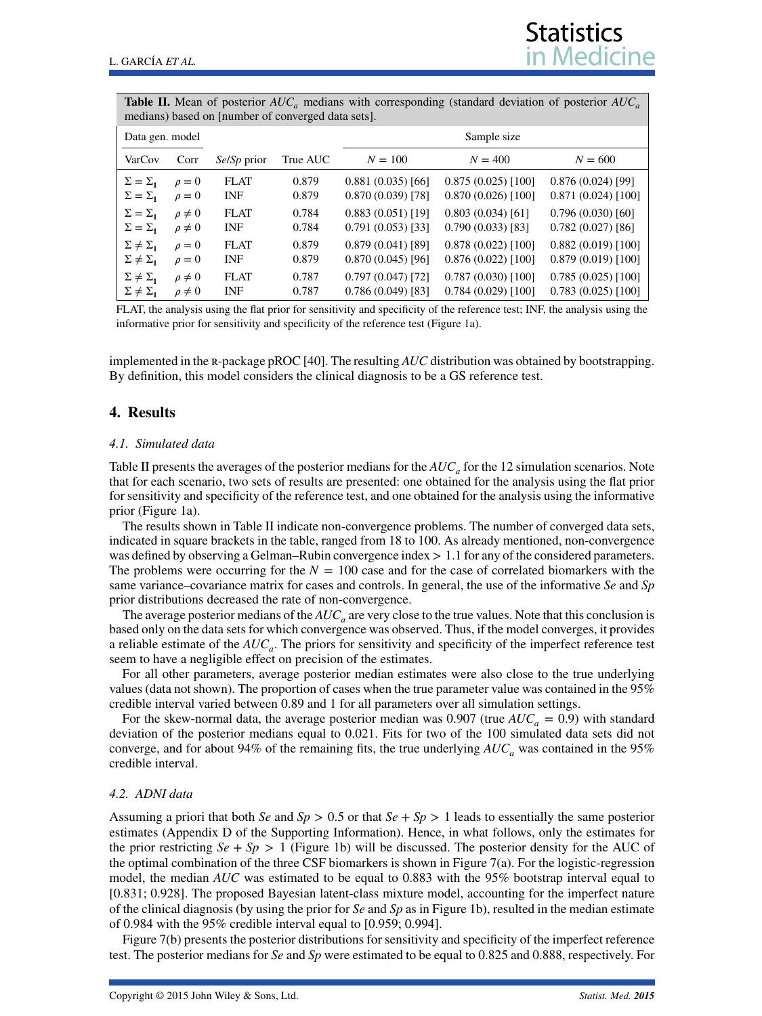<span id="page-10-0"></span>

| <b>Table II.</b> Mean of posterior $AUC_a$ medians with corresponding (standard deviation of posterior $AUC_a$<br>medians) based on [number of converged data sets]. |               |                    |          |                     |                      |                      |  |  |
|----------------------------------------------------------------------------------------------------------------------------------------------------------------------|---------------|--------------------|----------|---------------------|----------------------|----------------------|--|--|
| Data gen. model                                                                                                                                                      |               |                    |          | Sample size         |                      |                      |  |  |
| VarCov                                                                                                                                                               | Corr          | <i>SelSp</i> prior | True AUC | $N = 100$           | $N = 400$            | $N = 600$            |  |  |
| $\Sigma = \Sigma_1$                                                                                                                                                  | $\rho = 0$    | <b>FLAT</b>        | 0.879    | $0.881(0.035)$ [66] | $0.875(0.025)$ [100] | $0.876(0.024)$ [99]  |  |  |
| $\Sigma = \Sigma_1$                                                                                                                                                  | $\rho = 0$    | <b>INF</b>         | 0.879    | $0.870(0.039)$ [78] | $0.870(0.026)$ [100] | $0.871(0.024)$ [100] |  |  |
| $\Sigma = \Sigma_1$                                                                                                                                                  | $\rho \neq 0$ | <b>FLAT</b>        | 0.784    | 0.883(0.051)[19]    | 0.803(0.034)[61]     | 0.796(0.030)[60]     |  |  |
| $\Sigma = \Sigma_1$                                                                                                                                                  | $\rho \neq 0$ | <b>INF</b>         | 0.784    | 0.791(0.053)[33]    | $0.790(0.033)$ [83]  | $0.782(0.027)$ [86]  |  |  |
| $\Sigma \neq \Sigma_1$                                                                                                                                               | $\rho = 0$    | <b>FLAT</b>        | 0.879    | 0.879(0.041)[89]    | 0.878(0.022)[100]    | $0.882(0.019)$ [100] |  |  |
| $\Sigma \neq \Sigma_1$                                                                                                                                               | $\rho = 0$    | <b>INF</b>         | 0.879    | $0.870(0.045)$ [96] | 0.876(0.022)[100]    | $0.879(0.019)$ [100] |  |  |
| $\Sigma \neq \Sigma_1$                                                                                                                                               | $\rho \neq 0$ | <b>FLAT</b>        | 0.787    | $0.797(0.047)$ [72] | $0.787(0.030)$ [100] | $0.785(0.025)$ [100] |  |  |
| $\Sigma \neq \Sigma_1$                                                                                                                                               | $\rho \neq 0$ | INF                | 0.787    | $0.786(0.049)$ [83] | $0.784(0.029)$ [100] | $0.783(0.025)$ [100] |  |  |

**Statistics** 

FLAT, the analysis using the flat prior for sensitivity and specificity of the reference test; INF, the analysis using the informative prior for sensitivity and specificity of the reference test (Figure [1a](#page-4-0)).

implemented in the r-package pROC [\[40\]](#page-13-33). The resulting *AUC* distribution was obtained by bootstrapping. By definition, this model considers the clinical diagnosis to be a GS reference test.

#### **4. Results**

#### *4.1. Simulated data*

Table [II](#page-10-0) presents the averages of the posterior medians for the  $AUC_a$  for the 12 simulation scenarios. Note that for each scenario, two sets of results are presented: one obtained for the analysis using the flat prior for sensitivity and specificity of the reference test, and one obtained for the analysis using the informative prior (Figure [1a](#page-4-0)).

The results shown in Table [II](#page-10-0) indicate non-convergence problems. The number of converged data sets, indicated in square brackets in the table, ranged from 18 to 100. As already mentioned, non-convergence was defined by observing a Gelman–Rubin convergence index  $> 1.1$  for any of the considered parameters. The problems were occurring for the  $N = 100$  case and for the case of correlated biomarkers with the same variance–covariance matrix for cases and controls. In general, the use of the informative *Se* and *Sp* prior distributions decreased the rate of non-convergence.

The average posterior medians of the  $AUC_a$  are very close to the true values. Note that this conclusion is based only on the data sets for which convergence was observed. Thus, if the model converges, it provides a reliable estimate of the *AUCa*. The priors for sensitivity and specificity of the imperfect reference test seem to have a negligible effect on precision of the estimates.

For all other parameters, average posterior median estimates were also close to the true underlying values (data not shown). The proportion of cases when the true parameter value was contained in the 95% credible interval varied between 0.89 and 1 for all parameters over all simulation settings.

For the skew-normal data, the average posterior median was 0.907 (true  $AUC_a = 0.9$ ) with standard deviation of the posterior medians equal to 0.021. Fits for two of the 100 simulated data sets did not converge, and for about 94% of the remaining fits, the true underlying  $AUC_a$  was contained in the 95% credible interval.

#### *4.2. ADNI data*

Assuming a priori that both *Se* and *Sp*  $> 0.5$  or that *Se* + *Sp*  $> 1$  leads to essentially the same posterior estimates (Appendix D of the Supporting Information). Hence, in what follows, only the estimates for the prior restricting  $Se + Sp > 1$  (Figure [1b](#page-4-0)) will be discussed. The posterior density for the AUC of the optimal combination of the three CSF biomarkers is shown in Figure  $7(a)$ . For the logistic-regression model, the median *AUC* was estimated to be equal to 0.883 with the 95% bootstrap interval equal to [0.831; 0.928]. The proposed Bayesian latent-class mixture model, accounting for the imperfect nature of the clinical diagnosis (by using the prior for *Se* and *Sp* as in Figure [1b](#page-4-0)), resulted in the median estimate of 0.984 with the 95% credible interval equal to [0.959; 0.994].

Figure [7\(](#page-11-0)b) presents the posterior distributions for sensitivity and specificity of the imperfect reference test. The posterior medians for *Se* and *Sp* were estimated to be equal to 0.825 and 0.888, respectively. For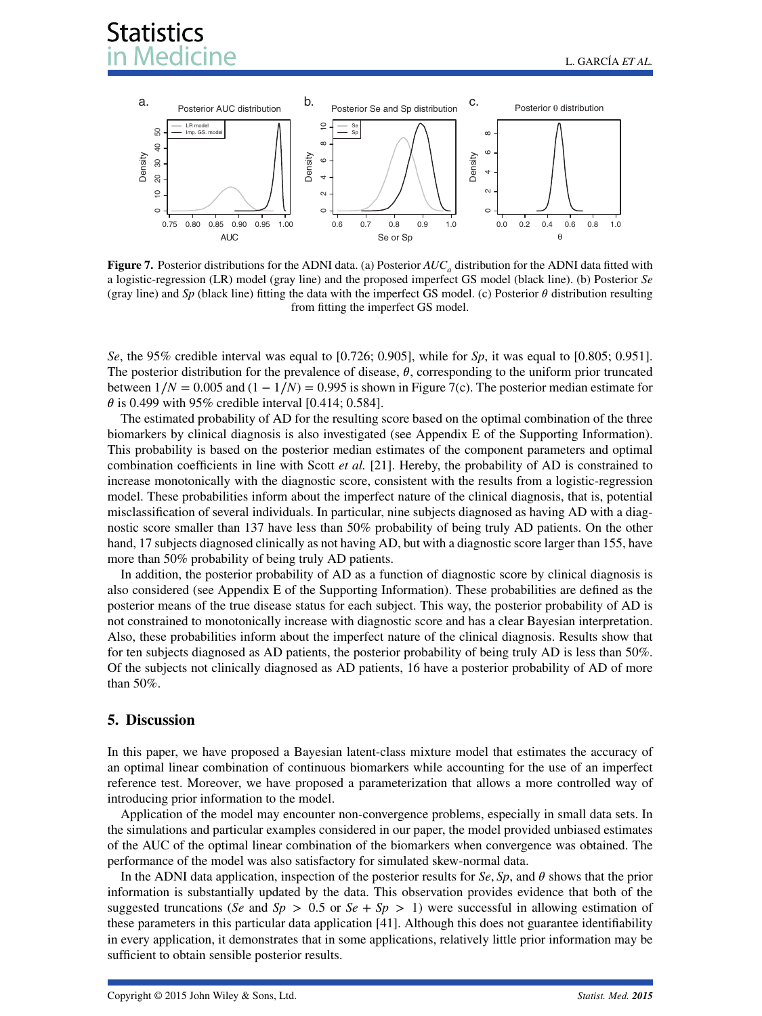

<span id="page-11-0"></span>**Figure 7.** Posterior distributions for the ADNI data. (a) Posterior  $AUC_a$  distribution for the ADNI data fitted with a logistic-regression (LR) model (gray line) and the proposed imperfect GS model (black line). (b) Posterior *Se* (gray line) and *Sp* (black line) fitting the data with the imperfect GS model. (c) Posterior  $\theta$  distribution resulting from fitting the imperfect GS model.

*Se*, the 95% credible interval was equal to [0.726; 0.905], while for *Sp*, it was equal to [0.805; 0.951]. The posterior distribution for the prevalence of disease,  $\theta$ , corresponding to the uniform prior truncated between  $1/N = 0.005$  and  $(1 - 1/N) = 0.995$  is shown in Figure [7\(](#page-11-0)c). The posterior median estimate for  $\theta$  is 0.499 with 95% credible interval [0.414; 0.584].

The estimated probability of AD for the resulting score based on the optimal combination of the three biomarkers by clinical diagnosis is also investigated (see Appendix E of the Supporting Information). This probability is based on the posterior median estimates of the component parameters and optimal combination coefficients in line with Scott *et al.* [\[21\]](#page-13-14). Hereby, the probability of AD is constrained to increase monotonically with the diagnostic score, consistent with the results from a logistic-regression model. These probabilities inform about the imperfect nature of the clinical diagnosis, that is, potential misclassification of several individuals. In particular, nine subjects diagnosed as having AD with a diagnostic score smaller than 137 have less than 50% probability of being truly AD patients. On the other hand, 17 subjects diagnosed clinically as not having AD, but with a diagnostic score larger than 155, have more than 50% probability of being truly AD patients.

In addition, the posterior probability of AD as a function of diagnostic score by clinical diagnosis is also considered (see Appendix E of the Supporting Information). These probabilities are defined as the posterior means of the true disease status for each subject. This way, the posterior probability of AD is not constrained to monotonically increase with diagnostic score and has a clear Bayesian interpretation. Also, these probabilities inform about the imperfect nature of the clinical diagnosis. Results show that for ten subjects diagnosed as AD patients, the posterior probability of being truly AD is less than 50%. Of the subjects not clinically diagnosed as AD patients, 16 have a posterior probability of AD of more than 50%.

#### **5. Discussion**

In this paper, we have proposed a Bayesian latent-class mixture model that estimates the accuracy of an optimal linear combination of continuous biomarkers while accounting for the use of an imperfect reference test. Moreover, we have proposed a parameterization that allows a more controlled way of introducing prior information to the model.

Application of the model may encounter non-convergence problems, especially in small data sets. In the simulations and particular examples considered in our paper, the model provided unbiased estimates of the AUC of the optimal linear combination of the biomarkers when convergence was obtained. The performance of the model was also satisfactory for simulated skew-normal data.

In the ADNI data application, inspection of the posterior results for  $Se$ ,  $Sp$ , and  $\theta$  shows that the prior information is substantially updated by the data. This observation provides evidence that both of the suggested truncations (*Se* and *Sp*  $> 0.5$  or *Se* + *Sp*  $> 1$ ) were successful in allowing estimation of these parameters in this particular data application [\[41\]](#page-13-34). Although this does not guarantee identifiability in every application, it demonstrates that in some applications, relatively little prior information may be sufficient to obtain sensible posterior results.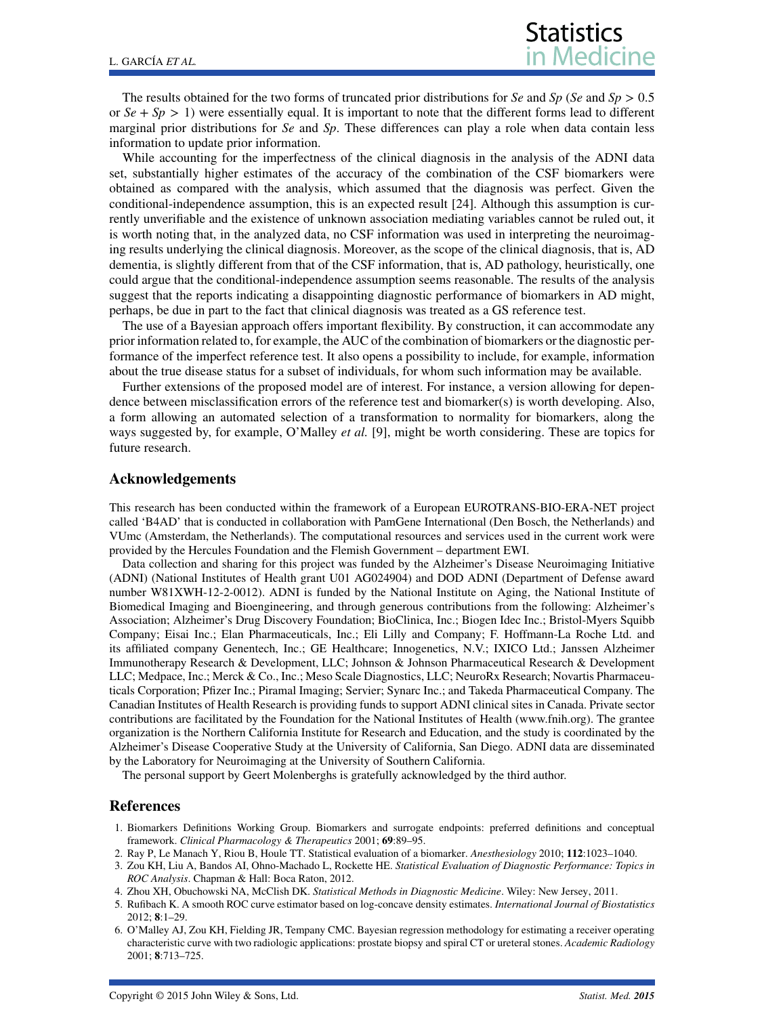The results obtained for the two forms of truncated prior distributions for *Se* and *Sp* (*Se* and *Sp >* 0*.*5 or  $Se + Sp > 1$ ) were essentially equal. It is important to note that the different forms lead to different marginal prior distributions for *Se* and *Sp*. These differences can play a role when data contain less information to update prior information.

While accounting for the imperfectness of the clinical diagnosis in the analysis of the ADNI data set, substantially higher estimates of the accuracy of the combination of the CSF biomarkers were obtained as compared with the analysis, which assumed that the diagnosis was perfect. Given the conditional-independence assumption, this is an expected result [\[24\]](#page-13-17). Although this assumption is currently unverifiable and the existence of unknown association mediating variables cannot be ruled out, it is worth noting that, in the analyzed data, no CSF information was used in interpreting the neuroimaging results underlying the clinical diagnosis. Moreover, as the scope of the clinical diagnosis, that is, AD dementia, is slightly different from that of the CSF information, that is, AD pathology, heuristically, one could argue that the conditional-independence assumption seems reasonable. The results of the analysis suggest that the reports indicating a disappointing diagnostic performance of biomarkers in AD might, perhaps, be due in part to the fact that clinical diagnosis was treated as a GS reference test.

The use of a Bayesian approach offers important flexibility. By construction, it can accommodate any prior information related to, for example, the AUC of the combination of biomarkers or the diagnostic performance of the imperfect reference test. It also opens a possibility to include, for example, information about the true disease status for a subset of individuals, for whom such information may be available.

Further extensions of the proposed model are of interest. For instance, a version allowing for dependence between misclassification errors of the reference test and biomarker(s) is worth developing. Also, a form allowing an automated selection of a transformation to normality for biomarkers, along the ways suggested by, for example, O'Malley *et al.* [\[9\]](#page-13-2), might be worth considering. These are topics for future research.

#### **Acknowledgements**

This research has been conducted within the framework of a European EUROTRANS-BIO-ERA-NET project called 'B4AD' that is conducted in collaboration with PamGene International (Den Bosch, the Netherlands) and VUmc (Amsterdam, the Netherlands). The computational resources and services used in the current work were provided by the Hercules Foundation and the Flemish Government – department EWI.

Data collection and sharing for this project was funded by the Alzheimer's Disease Neuroimaging Initiative (ADNI) (National Institutes of Health grant U01 AG024904) and DOD ADNI (Department of Defense award number W81XWH-12-2-0012). ADNI is funded by the National Institute on Aging, the National Institute of Biomedical Imaging and Bioengineering, and through generous contributions from the following: Alzheimer's Association; Alzheimer's Drug Discovery Foundation; BioClinica, Inc.; Biogen Idec Inc.; Bristol-Myers Squibb Company; Eisai Inc.; Elan Pharmaceuticals, Inc.; Eli Lilly and Company; F. Hoffmann-La Roche Ltd. and its affiliated company Genentech, Inc.; GE Healthcare; Innogenetics, N.V.; IXICO Ltd.; Janssen Alzheimer Immunotherapy Research & Development, LLC; Johnson & Johnson Pharmaceutical Research & Development LLC; Medpace, Inc.; Merck & Co., Inc.; Meso Scale Diagnostics, LLC; NeuroRx Research; Novartis Pharmaceuticals Corporation; Pfizer Inc.; Piramal Imaging; Servier; Synarc Inc.; and Takeda Pharmaceutical Company. The Canadian Institutes of Health Research is providing funds to support ADNI clinical sites in Canada. Private sector contributions are facilitated by the Foundation for the National Institutes of Health (www.fnih.org). The grantee organization is the Northern California Institute for Research and Education, and the study is coordinated by the Alzheimer's Disease Cooperative Study at the University of California, San Diego. ADNI data are disseminated by the Laboratory for Neuroimaging at the University of Southern California.

The personal support by Geert Molenberghs is gratefully acknowledged by the third author.

#### **References**

- <span id="page-12-0"></span>1. Biomarkers Definitions Working Group. Biomarkers and surrogate endpoints: preferred definitions and conceptual framework. *Clinical Pharmacology & Therapeutics* 2001; **69**:89–95.
- <span id="page-12-1"></span>2. Ray P, Le Manach Y, Riou B, Houle TT. Statistical evaluation of a biomarker. *Anesthesiology* 2010; **112**:1023–1040.
- <span id="page-12-2"></span>3. Zou KH, Liu A, Bandos AI, Ohno-Machado L, Rockette HE. *Statistical Evaluation of Diagnostic Performance: Topics in ROC Analysis*. Chapman & Hall: Boca Raton, 2012.
- <span id="page-12-3"></span>4. Zhou XH, Obuchowski NA, McClish DK. *Statistical Methods in Diagnostic Medicine*. Wiley: New Jersey, 2011.
- <span id="page-12-4"></span>5. Rufibach K. A smooth ROC curve estimator based on log-concave density estimates. *International Journal of Biostatistics* 2012; **8**:1–29.
- <span id="page-12-5"></span>6. O'Malley AJ, Zou KH, Fielding JR, Tempany CMC. Bayesian regression methodology for estimating a receiver operating characteristic curve with two radiologic applications: prostate biopsy and spiral CT or ureteral stones. *Academic Radiology* 2001; **8**:713–725.